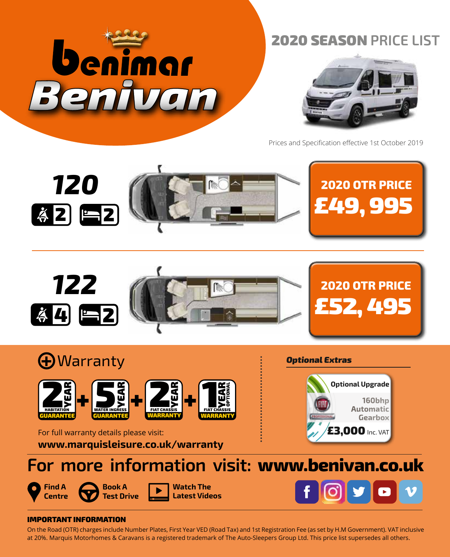

# 2020 SEASON **PRICE LIST**



Prices and Specification effective 1st October 2019











**Watch The Latest Videos**



## IMPORTANT INFORMATION

On the Road (OTR) charges include Number Plates, First Year VED (Road Tax) and 1st Registration Fee (as set by H.M Government). VAT inclusive at 20%. Marquis Motorhomes & Caravans is a registered trademark of The Auto-Sleepers Group Ltd. This price list supersedes all others.